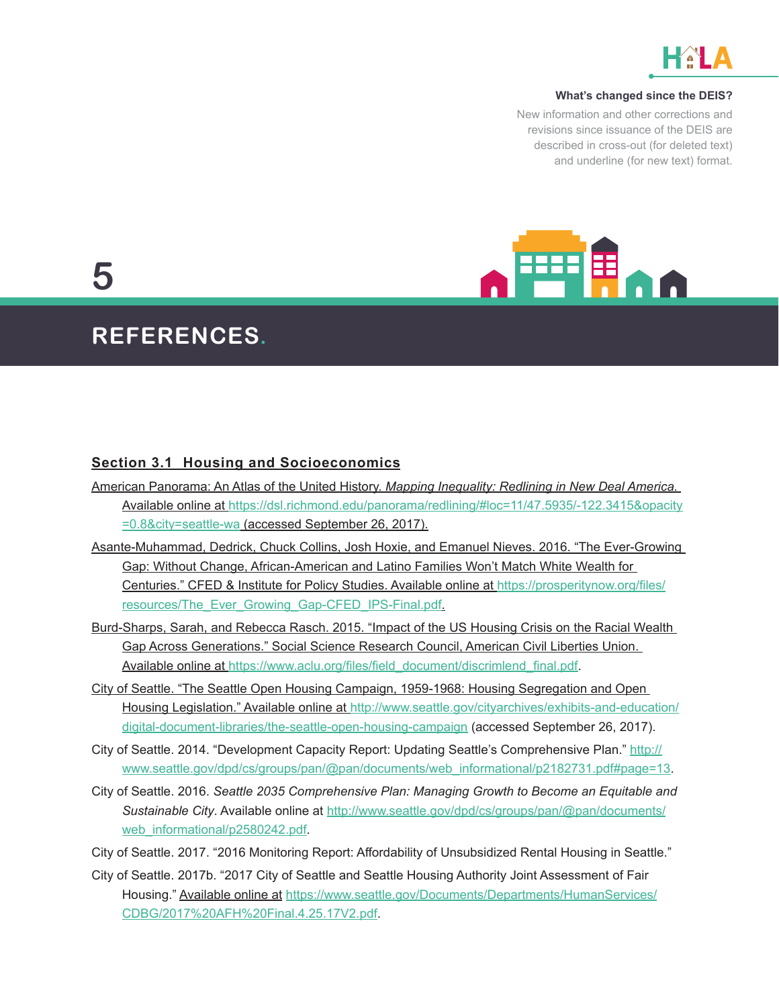

#### **What's changed since the DEIS?**

New information and other corrections and revisions since issuance of the DEIS are described in cross-out (for deleted text) and underline (for new text) format.



# **5**

## **REFERENCES.**

#### **Section 3.1 Housing and Socioeconomics**

- American Panorama: An Atlas of the United History. *Mapping Inequality: Redlining in New Deal America.* Available online at [https://dsl.richmond.edu/panorama/redlining/#loc=11/47.5935/-122.3415&opacity](https://dsl.richmond.edu/panorama/redlining/#loc=11/47.5935/-122.3415&opacity=0.8&city=seattle-wa) [=0.8&city=seattle-wa](https://dsl.richmond.edu/panorama/redlining/#loc=11/47.5935/-122.3415&opacity=0.8&city=seattle-wa) (accessed September 26, 2017).
- Asante-Muhammad, Dedrick, Chuck Collins, Josh Hoxie, and Emanuel Nieves. 2016. "The Ever-Growing Gap: Without Change, African-American and Latino Families Won't Match White Wealth for Centuries." CFED & Institute for Policy Studies. Available online at [https://prosperitynow.org/files/](https://prosperitynow.org/files/resources/The_Ever_Growing_Gap-CFED_IPS-Final.pdf) [resources/The\\_Ever\\_Growing\\_Gap-CFED\\_IPS-Final.pdf](https://prosperitynow.org/files/resources/The_Ever_Growing_Gap-CFED_IPS-Final.pdf).
- Burd-Sharps, Sarah, and Rebecca Rasch. 2015. "Impact of the US Housing Crisis on the Racial Wealth Gap Across Generations." Social Science Research Council, American Civil Liberties Union. Available online at [https://www.aclu.org/files/field\\_document/discrimlend\\_final.pdf](https://www.aclu.org/files/field_document/discrimlend_final.pdf).
- City of Seattle. "The Seattle Open Housing Campaign, 1959-1968: Housing Segregation and Open Housing Legislation." Available online at [http://www.seattle.gov/cityarchives/exhibits-and-education/](http://www.seattle.gov/cityarchives/exhibits-and-education/digital-document-libraries/the-seattle-open-housing-campaign) [digital-document-libraries/the-seattle-open-housing-campaign](http://www.seattle.gov/cityarchives/exhibits-and-education/digital-document-libraries/the-seattle-open-housing-campaign) (accessed September 26, 2017).
- City of Seattle. 2014. "Development Capacity Report: Updating Seattle's Comprehensive Plan." [http://](http://www.seattle.gov/dpd/cs/groups/pan/@pan/documents/web_informational/p2182731.pdf#page=13) [www.seattle.gov/dpd/cs/groups/pan/@pan/documents/web\\_informational/p2182731.pdf#page=13](http://www.seattle.gov/dpd/cs/groups/pan/@pan/documents/web_informational/p2182731.pdf#page=13).
- City of Seattle. 2016. *Seattle 2035 Comprehensive Plan: Managing Growth to Become an Equitable and Sustainable City*. Available online at [http://www.seattle.gov/dpd/cs/groups/pan/@pan/documents/](http://www.seattle.gov/dpd/cs/groups/pan/@pan/documents/web_informational/p2580242.pdf) [web\\_informational/p2580242.pdf](http://www.seattle.gov/dpd/cs/groups/pan/@pan/documents/web_informational/p2580242.pdf).
- City of Seattle. 2017. "2016 Monitoring Report: Affordability of Unsubsidized Rental Housing in Seattle."
- City of Seattle. 2017b. "2017 City of Seattle and Seattle Housing Authority Joint Assessment of Fair Housing." Available online at [https://www.seattle.gov/Documents/Departments/HumanServices/](https://www.seattle.gov/Documents/Departments/HumanServices/CDBG/2017%20AFH%20Final.4.25.17V2.pdf) [CDBG/2017%20AFH%20Final.4.25.17V2.pdf.](https://www.seattle.gov/Documents/Departments/HumanServices/CDBG/2017%20AFH%20Final.4.25.17V2.pdf)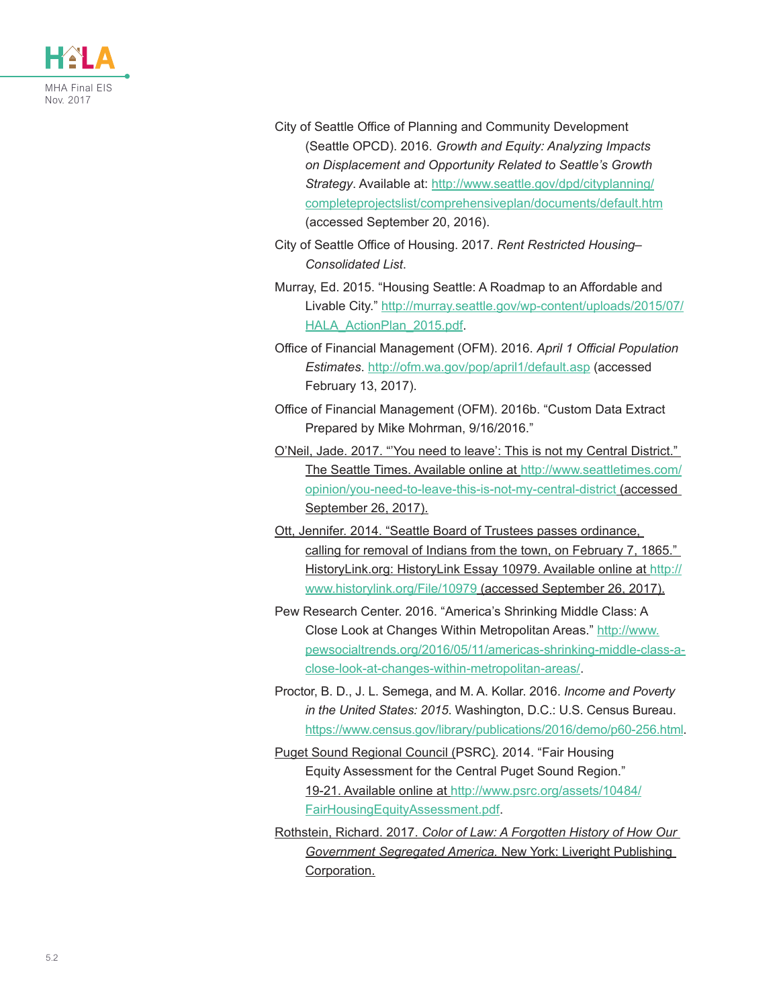

- City of Seattle Office of Planning and Community Development (Seattle OPCD). 2016. *Growth and Equity: Analyzing Impacts on Displacement and Opportunity Related to Seattle's Growth Strategy*. Available at: [http://www.seattle.gov/dpd/cityplanning/](http://www.seattle.gov/dpd/cityplanning/completeprojectslist/comprehensiveplan/documents/default.htm) [completeprojectslist/comprehensiveplan/documents/default.htm](http://www.seattle.gov/dpd/cityplanning/completeprojectslist/comprehensiveplan/documents/default.htm) (accessed September 20, 2016).
- City of Seattle Office of Housing. 2017. *Rent Restricted Housing– Consolidated List*.
- Murray, Ed. 2015. "Housing Seattle: A Roadmap to an Affordable and Livable City." [http://murray.seattle.gov/wp-content/uploads/2015/07/](http://murray.seattle.gov/wp-content/uploads/2015/07/HALA_ActionPlan_2015.pdf) HALA ActionPlan 2015.pdf.
- Office of Financial Management (OFM). 2016. *April 1 Official Population Estimates*.<http://ofm.wa.gov/pop/april1/default.asp> (accessed February 13, 2017).
- Office of Financial Management (OFM). 2016b. "Custom Data Extract Prepared by Mike Mohrman, 9/16/2016."
- O'Neil, Jade. 2017. "'You need to leave': This is not my Central District." The Seattle Times. Available online at [http://www.seattletimes.com/](http://www.seattletimes.com/opinion/you-need-to-leave-this-is-not-my-central-district) [opinion/you-need-to-leave-this-is-not-my-central-district](http://www.seattletimes.com/opinion/you-need-to-leave-this-is-not-my-central-district) (accessed September 26, 2017).
- Ott, Jennifer. 2014. "Seattle Board of Trustees passes ordinance, calling for removal of Indians from the town, on February 7, 1865." HistoryLink.org: HistoryLink Essay 10979. Available online at [http://](http://www.historylink.org/File/10979) [www.historylink.org/File/10979](http://www.historylink.org/File/10979) (accessed September 26, 2017).
- Pew Research Center. 2016. "America's Shrinking Middle Class: A Close Look at Changes Within Metropolitan Areas." [http://www.](http://www.pewsocialtrends.org/2016/05/11/americas-shrinking-middle-class-a-close-look-at-changes-within-metropolitan-areas/) [pewsocialtrends.org/2016/05/11/americas-shrinking-middle-class-a](http://www.pewsocialtrends.org/2016/05/11/americas-shrinking-middle-class-a-close-look-at-changes-within-metropolitan-areas/)[close-look-at-changes-within-metropolitan-areas/](http://www.pewsocialtrends.org/2016/05/11/americas-shrinking-middle-class-a-close-look-at-changes-within-metropolitan-areas/).
- Proctor, B. D., J. L. Semega, and M. A. Kollar. 2016. *Income and Poverty in the United States: 2015*. Washington, D.C.: U.S. Census Bureau. <https://www.census.gov/library/publications/2016/demo/p60-256.html>.
- Puget Sound Regional Council (PSRC). 2014. "Fair Housing Equity Assessment for the Central Puget Sound Region." 19-21. Available online at [http://www.psrc.org/assets/10484/](http://www.psrc.org/assets/10484/FairHousingEquityAssessment.pdf) [FairHousingEquityAssessment.pdf.](http://www.psrc.org/assets/10484/FairHousingEquityAssessment.pdf)
- Rothstein, Richard. 2017. *Color of Law: A Forgotten History of How Our Government Segregated America.* New York: Liveright Publishing Corporation.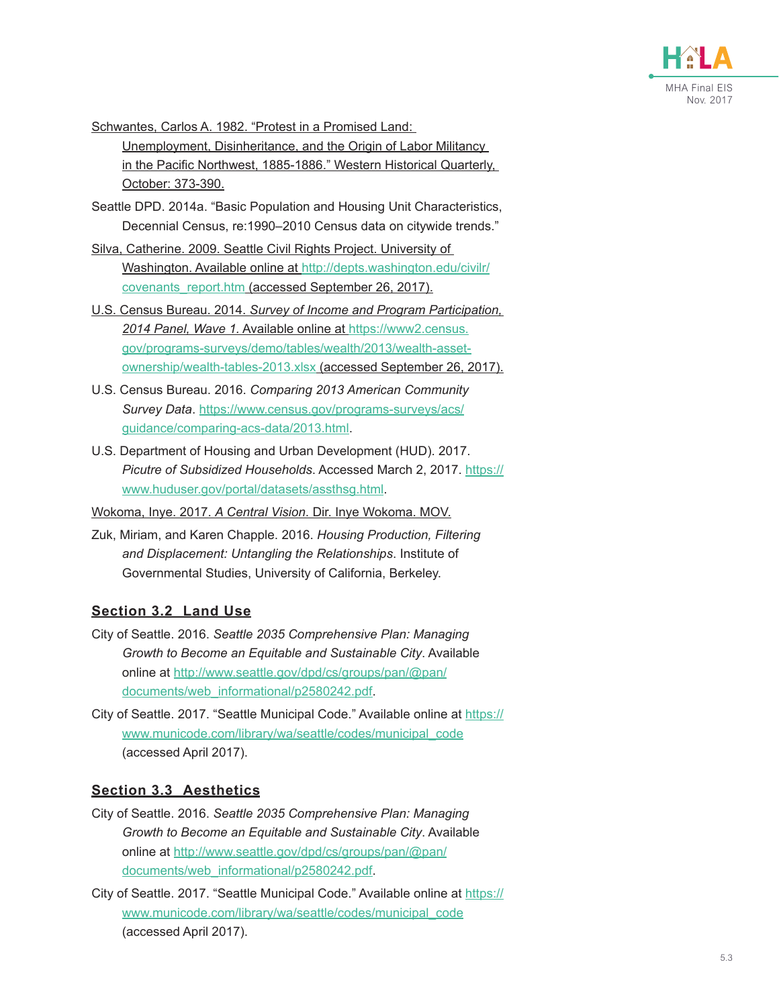

Schwantes, Carlos A. 1982. "Protest in a Promised Land:

Unemployment, Disinheritance, and the Origin of Labor Militancy in the Pacific Northwest, 1885-1886." Western Historical Quarterly, October: 373-390.

- Seattle DPD. 2014a. "Basic Population and Housing Unit Characteristics, Decennial Census, re:1990–2010 Census data on citywide trends."
- Silva, Catherine. 2009. Seattle Civil Rights Project. University of Washington. Available online at [http://depts.washington.edu/civilr/](http://depts.washington.edu/civilr/covenants_report.htm) [covenants\\_report.htm](http://depts.washington.edu/civilr/covenants_report.htm) (accessed September 26, 2017).
- U.S. Census Bureau. 2014. *Survey of Income and Program Participation, 2014 Panel, Wave 1.* Available online at [https://www2.census.](https://www2.census.gov/programs-surveys/demo/tables/wealth/2013/wealth-asset-ownership/wealth-tables-2013.xlsx) [gov/programs-surveys/demo/tables/wealth/2013/wealth-asset](https://www2.census.gov/programs-surveys/demo/tables/wealth/2013/wealth-asset-ownership/wealth-tables-2013.xlsx)[ownership/wealth-tables-2013.xlsx](https://www2.census.gov/programs-surveys/demo/tables/wealth/2013/wealth-asset-ownership/wealth-tables-2013.xlsx) (accessed September 26, 2017).
- U.S. Census Bureau. 2016. *Comparing 2013 American Community Survey Data*. [https://www.census.gov/programs-surveys/acs/](https://www.census.gov/programs-surveys/acs/guidance/comparing-acs-data/2013.html) [guidance/comparing-acs-data/2013.html](https://www.census.gov/programs-surveys/acs/guidance/comparing-acs-data/2013.html).
- U.S. Department of Housing and Urban Development (HUD). 2017. *Picutre of Subsidized Households*. Accessed March 2, 2017. [https://](https://www.huduser.gov/portal/datasets/assthsg.html) [www.huduser.gov/portal/datasets/assthsg.html.](https://www.huduser.gov/portal/datasets/assthsg.html)

Wokoma, Inye. 2017. *A Central Vision*. Dir. Inye Wokoma. MOV.

Zuk, Miriam, and Karen Chapple. 2016. *Housing Production, Filtering and Displacement: Untangling the Relationships*. Institute of Governmental Studies, University of California, Berkeley.

#### **Section 3.2 Land Use**

- City of Seattle. 2016. *Seattle 2035 Comprehensive Plan: Managing Growth to Become an Equitable and Sustainable City*. Available online at [http://www.seattle.gov/dpd/cs/groups/pan/@pan/](http://www.seattle.gov/dpd/cs/groups/pan/@pan/documents/web_informational/p2580242.pdf) [documents/web\\_informational/p2580242.pdf.](http://www.seattle.gov/dpd/cs/groups/pan/@pan/documents/web_informational/p2580242.pdf)
- City of Seattle. 2017. "Seattle Municipal Code." Available online at [https://](https://www.municode.com/library/wa/seattle/codes/municipal_code) [www.municode.com/library/wa/seattle/codes/municipal\\_code](https://www.municode.com/library/wa/seattle/codes/municipal_code) (accessed April 2017).

### **Section 3.3 Aesthetics**

- City of Seattle. 2016. *Seattle 2035 Comprehensive Plan: Managing Growth to Become an Equitable and Sustainable City*. Available online at [http://www.seattle.gov/dpd/cs/groups/pan/@pan/](http://www.seattle.gov/dpd/cs/groups/pan/@pan/documents/web_informational/p2580242.pdf) [documents/web\\_informational/p2580242.pdf.](http://www.seattle.gov/dpd/cs/groups/pan/@pan/documents/web_informational/p2580242.pdf)
- City of Seattle. 2017. "Seattle Municipal Code." Available online at [https://](https://www.municode.com/library/wa/seattle/codes/municipal_code) [www.municode.com/library/wa/seattle/codes/municipal\\_code](https://www.municode.com/library/wa/seattle/codes/municipal_code) (accessed April 2017).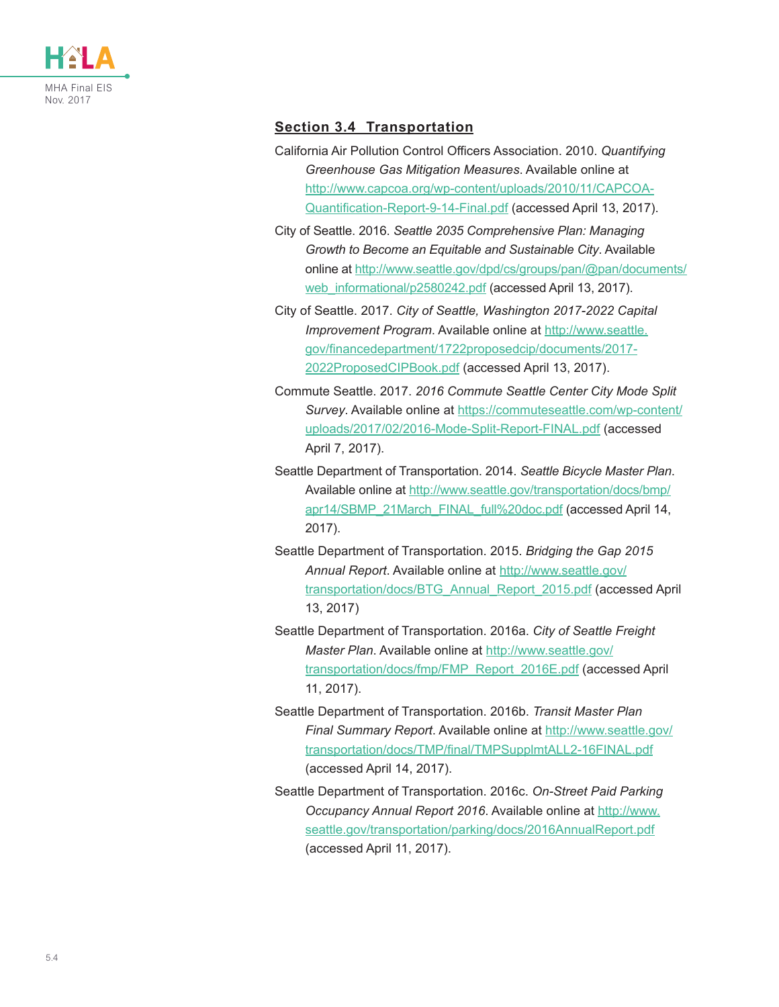

#### **Section 3.4 Transportation**

- California Air Pollution Control Officers Association. 2010. *Quantifying Greenhouse Gas Mitigation Measures*. Available online at [http://www.capcoa.org/wp-content/uploads/2010/11/CAPCOA-](http://www.capcoa.org/wp-content/uploads/2010/11/CAPCOA-Quantification-Report-9-14-Final.pdf)[Quantification-Report-9-14-Final.pdf](http://www.capcoa.org/wp-content/uploads/2010/11/CAPCOA-Quantification-Report-9-14-Final.pdf) (accessed April 13, 2017).
- City of Seattle. 2016. *Seattle 2035 Comprehensive Plan: Managing Growth to Become an Equitable and Sustainable City*. Available online at [http://www.seattle.gov/dpd/cs/groups/pan/@pan/documents/](http://www.seattle.gov/dpd/cs/groups/pan/@pan/documents/web_informational/p2580242.pdf) web informational/p2580242.pdf (accessed April 13, 2017).
- City of Seattle. 2017. *City of Seattle, Washington 2017-2022 Capital Improvement Program*. Available online at [http://www.seattle.](http://www.seattle.gov/financedepartment/1722proposedcip/documents/2017-2022ProposedCIPBook.pdf) [gov/financedepartment/1722proposedcip/documents/2017-](http://www.seattle.gov/financedepartment/1722proposedcip/documents/2017-2022ProposedCIPBook.pdf) [2022ProposedCIPBook.pdf](http://www.seattle.gov/financedepartment/1722proposedcip/documents/2017-2022ProposedCIPBook.pdf) (accessed April 13, 2017).
- Commute Seattle. 2017. *2016 Commute Seattle Center City Mode Split Survey*. Available online at [https://commuteseattle.com/wp-content/](https://commuteseattle.com/wp-content/uploads/2017/02/2016-Mode-Split-Report-FINAL.pdf) [uploads/2017/02/2016-Mode-Split-Report-FINAL.pdf](https://commuteseattle.com/wp-content/uploads/2017/02/2016-Mode-Split-Report-FINAL.pdf) (accessed April 7, 2017).
- Seattle Department of Transportation. 2014. *Seattle Bicycle Master Plan*. Available online at [http://www.seattle.gov/transportation/docs/bmp/](http://www.seattle.gov/transportation/docs/bmp/apr14/SBMP_21March_FINAL_full%20doc.pdf) [apr14/SBMP\\_21March\\_FINAL\\_full%20doc.pdf](http://www.seattle.gov/transportation/docs/bmp/apr14/SBMP_21March_FINAL_full%20doc.pdf) (accessed April 14, 2017).
- Seattle Department of Transportation. 2015. *Bridging the Gap 2015 Annual Report*. Available online at [http://www.seattle.gov/](http://www.seattle.gov/transportation/docs/BTG_Annual_Report_2015.pdf) [transportation/docs/BTG\\_Annual\\_Report\\_2015.pdf](http://www.seattle.gov/transportation/docs/BTG_Annual_Report_2015.pdf) (accessed April 13, 2017)
- Seattle Department of Transportation. 2016a. *City of Seattle Freight Master Plan*. Available online at [http://www.seattle.gov/](http://www.seattle.gov/transportation/docs/fmp/FMP_Report_2016E.pdf) [transportation/docs/fmp/FMP\\_Report\\_2016E.pdf](http://www.seattle.gov/transportation/docs/fmp/FMP_Report_2016E.pdf) (accessed April 11, 2017).
- Seattle Department of Transportation. 2016b. *Transit Master Plan Final Summary Report*. Available online at [http://www.seattle.gov/](http://www.seattle.gov/transportation/docs/TMP/final/TMPSupplmtALL2-16FINAL.pdf) [transportation/docs/TMP/final/TMPSupplmtALL2-16FINAL.pdf](http://www.seattle.gov/transportation/docs/TMP/final/TMPSupplmtALL2-16FINAL.pdf) (accessed April 14, 2017).
- Seattle Department of Transportation. 2016c. *On-Street Paid Parking Occupancy Annual Report 2016*. Available online at [http://www.](http://www.seattle.gov/transportation/parking/docs/2016AnnualReport.pdf) [seattle.gov/transportation/parking/docs/2016AnnualReport.pdf](http://www.seattle.gov/transportation/parking/docs/2016AnnualReport.pdf) (accessed April 11, 2017).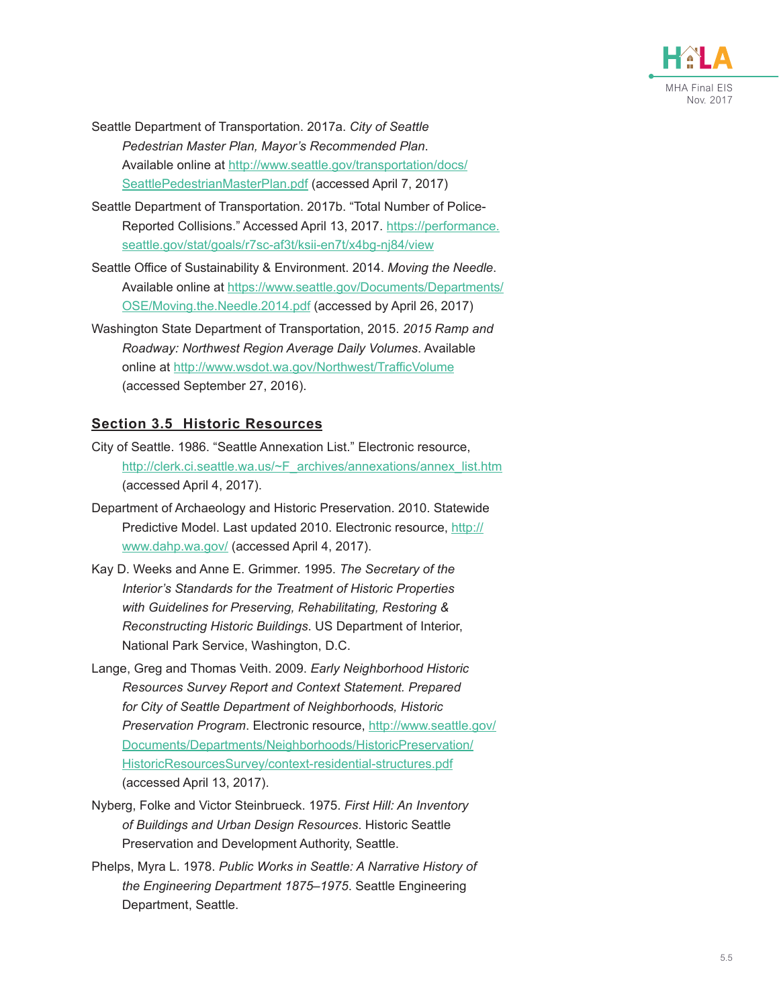

- Seattle Department of Transportation. 2017a. *City of Seattle Pedestrian Master Plan, Mayor's Recommended Plan*. Available online at [http://www.seattle.gov/transportation/docs/](http://www.seattle.gov/transportation/docs/SeattlePedestrianMasterPlan.pdf) [SeattlePedestrianMasterPlan.pdf](http://www.seattle.gov/transportation/docs/SeattlePedestrianMasterPlan.pdf) (accessed April 7, 2017)
- Seattle Department of Transportation. 2017b. "Total Number of Police-Reported Collisions." Accessed April 13, 2017. [https://performance.](https://performance.seattle.gov/stat/goals/r7sc-af3t/ksii-en7t/x4bg-nj84/view) [seattle.gov/stat/goals/r7sc-af3t/ksii-en7t/x4bg-nj84/view](https://performance.seattle.gov/stat/goals/r7sc-af3t/ksii-en7t/x4bg-nj84/view)
- Seattle Office of Sustainability & Environment. 2014. *Moving the Needle*. Available online at [https://www.seattle.gov/Documents/Departments/](https://www.seattle.gov/Documents/Departments/OSE/Moving.the.Needle.2014.pdf) [OSE/Moving.the.Needle.2014.pdf](https://www.seattle.gov/Documents/Departments/OSE/Moving.the.Needle.2014.pdf) (accessed by April 26, 2017)
- Washington State Department of Transportation, 2015. *2015 Ramp and Roadway: Northwest Region Average Daily Volumes*. Available online at <http://www.wsdot.wa.gov/Northwest/TrafficVolume> (accessed September 27, 2016).

#### **Section 3.5 Historic Resources**

- City of Seattle. 1986. "Seattle Annexation List." Electronic resource, [http://clerk.ci.seattle.wa.us/~F\\_archives/annexations/annex\\_list.htm](http://clerk.ci.seattle.wa.us/~F_archives/annexations/annex_list.htm) (accessed April 4, 2017).
- Department of Archaeology and Historic Preservation. 2010. Statewide Predictive Model. Last updated 2010. Electronic resource, [http://](http://www.dahp.wa.gov/) [www.dahp.wa.gov/](http://www.dahp.wa.gov/) (accessed April 4, 2017).
- Kay D. Weeks and Anne E. Grimmer. 1995. *The Secretary of the Interior's Standards for the Treatment of Historic Properties with Guidelines for Preserving, Rehabilitating, Restoring & Reconstructing Historic Buildings*. US Department of Interior, National Park Service, Washington, D.C.
- Lange, Greg and Thomas Veith. 2009. *Early Neighborhood Historic Resources Survey Report and Context Statement. Prepared for City of Seattle Department of Neighborhoods, Historic Preservation Program*. Electronic resource, [http://www.seattle.gov/](http://www.seattle.gov/Documents/Departments/Neighborhoods/HistoricPreservation/HistoricResourcesSurvey/context-residential-structures.pdf) [Documents/Departments/Neighborhoods/HistoricPreservation/](http://www.seattle.gov/Documents/Departments/Neighborhoods/HistoricPreservation/HistoricResourcesSurvey/context-residential-structures.pdf) [HistoricResourcesSurvey/context-residential-structures.pdf](http://www.seattle.gov/Documents/Departments/Neighborhoods/HistoricPreservation/HistoricResourcesSurvey/context-residential-structures.pdf) (accessed April 13, 2017).
- Nyberg, Folke and Victor Steinbrueck. 1975. *First Hill: An Inventory of Buildings and Urban Design Resources*. Historic Seattle Preservation and Development Authority, Seattle.
- Phelps, Myra L. 1978. *Public Works in Seattle: A Narrative History of the Engineering Department 1875–1975*. Seattle Engineering Department, Seattle.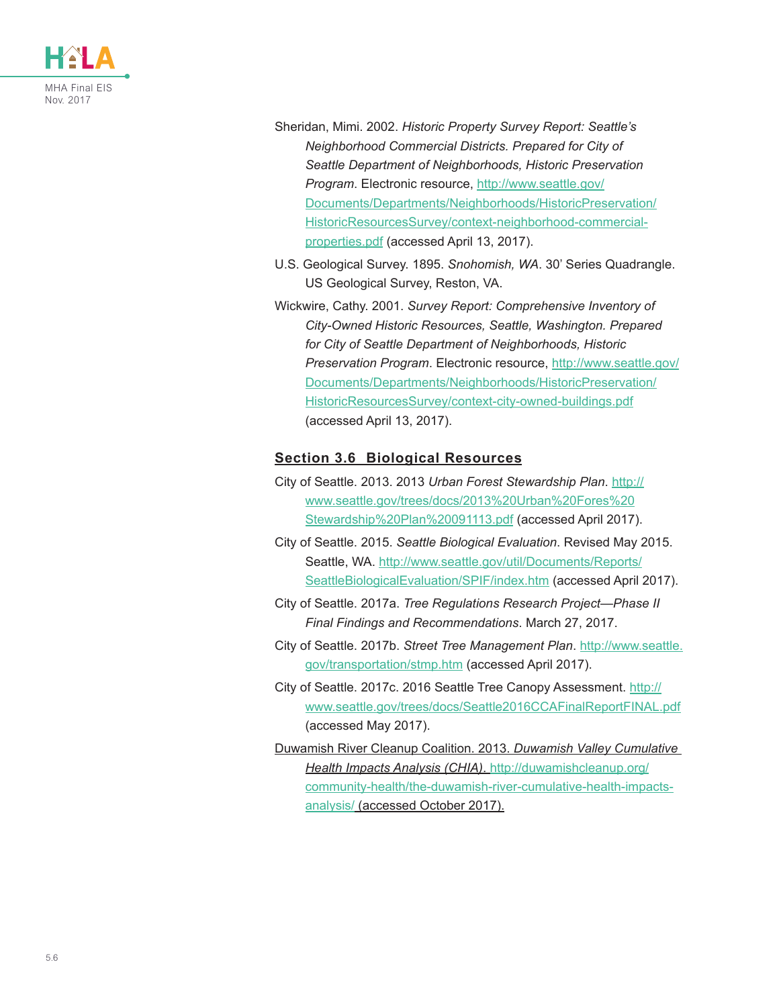

- Sheridan, Mimi. 2002. *Historic Property Survey Report: Seattle's Neighborhood Commercial Districts. Prepared for City of Seattle Department of Neighborhoods, Historic Preservation Program*. Electronic resource, [http://www.seattle.gov/](http://www.seattle.gov/Documents/Departments/Neighborhoods/HistoricPreservation/HistoricResourcesSurvey/context-neighborhood-commercial-properties.pdf) [Documents/Departments/Neighborhoods/HistoricPreservation/](http://www.seattle.gov/Documents/Departments/Neighborhoods/HistoricPreservation/HistoricResourcesSurvey/context-neighborhood-commercial-properties.pdf) [HistoricResourcesSurvey/context-neighborhood-commercial](http://www.seattle.gov/Documents/Departments/Neighborhoods/HistoricPreservation/HistoricResourcesSurvey/context-neighborhood-commercial-properties.pdf)[properties.pdf](http://www.seattle.gov/Documents/Departments/Neighborhoods/HistoricPreservation/HistoricResourcesSurvey/context-neighborhood-commercial-properties.pdf) (accessed April 13, 2017).
- U.S. Geological Survey. 1895. *Snohomish, WA*. 30' Series Quadrangle. US Geological Survey, Reston, VA.
- Wickwire, Cathy. 2001. *Survey Report: Comprehensive Inventory of City-Owned Historic Resources, Seattle, Washington. Prepared for City of Seattle Department of Neighborhoods, Historic Preservation Program*. Electronic resource, [http://www.seattle.gov/](http://www.seattle.gov/Documents/Departments/Neighborhoods/HistoricPreservation/HistoricResourcesSurvey/context-city-owned-buildings.pdf) [Documents/Departments/Neighborhoods/HistoricPreservation/](http://www.seattle.gov/Documents/Departments/Neighborhoods/HistoricPreservation/HistoricResourcesSurvey/context-city-owned-buildings.pdf) [HistoricResourcesSurvey/context-city-owned-buildings.pdf](http://www.seattle.gov/Documents/Departments/Neighborhoods/HistoricPreservation/HistoricResourcesSurvey/context-city-owned-buildings.pdf) (accessed April 13, 2017).

#### **Section 3.6 Biological Resources**

- City of Seattle. 2013. 2013 *Urban Forest Stewardship Plan*. [http://](http://www.seattle.gov/trees/docs/2013%20Urban%20Fores%20Stewardship%20Plan%20091113.pdf) [www.seattle.gov/trees/docs/2013%20Urban%20Fores%20](http://www.seattle.gov/trees/docs/2013%20Urban%20Fores%20Stewardship%20Plan%20091113.pdf) [Stewardship%20Plan%20091113.pdf](http://www.seattle.gov/trees/docs/2013%20Urban%20Fores%20Stewardship%20Plan%20091113.pdf) (accessed April 2017).
- City of Seattle. 2015. *Seattle Biological Evaluation*. Revised May 2015. Seattle, WA. [http://www.seattle.gov/util/Documents/Reports/](http://www.seattle.gov/util/Documents/Reports/SeattleBiologicalEvaluation/SPIF/index.htm) [SeattleBiologicalEvaluation/SPIF/index.htm](http://www.seattle.gov/util/Documents/Reports/SeattleBiologicalEvaluation/SPIF/index.htm) (accessed April 2017).
- City of Seattle. 2017a. *Tree Regulations Research Project—Phase II Final Findings and Recommendations*. March 27, 2017.
- City of Seattle. 2017b. *Street Tree Management Plan*. [http://www.seattle.](http://www.seattle.gov/transportation/stmp.htm) [gov/transportation/stmp.htm](http://www.seattle.gov/transportation/stmp.htm) (accessed April 2017).
- City of Seattle. 2017c. 2016 Seattle Tree Canopy Assessment. [http://](http://www.seattle.gov/trees/docs/Seattle2016CCAFinalReportFINAL.pdf) [www.seattle.gov/trees/docs/Seattle2016CCAFinalReportFINAL.pdf](http://www.seattle.gov/trees/docs/Seattle2016CCAFinalReportFINAL.pdf) (accessed May 2017).
- Duwamish River Cleanup Coalition. 2013. *Duwamish Valley Cumulative Health Impacts Analysis (CHIA)*. [http://duwamishcleanup.org/](http://duwamishcleanup.org/community-health/the-duwamish-river-cumulative-health-impacts-analysis/) [community-health/the-duwamish-river-cumulative-health-impacts](http://duwamishcleanup.org/community-health/the-duwamish-river-cumulative-health-impacts-analysis/)[analysis/](http://duwamishcleanup.org/community-health/the-duwamish-river-cumulative-health-impacts-analysis/) (accessed October 2017).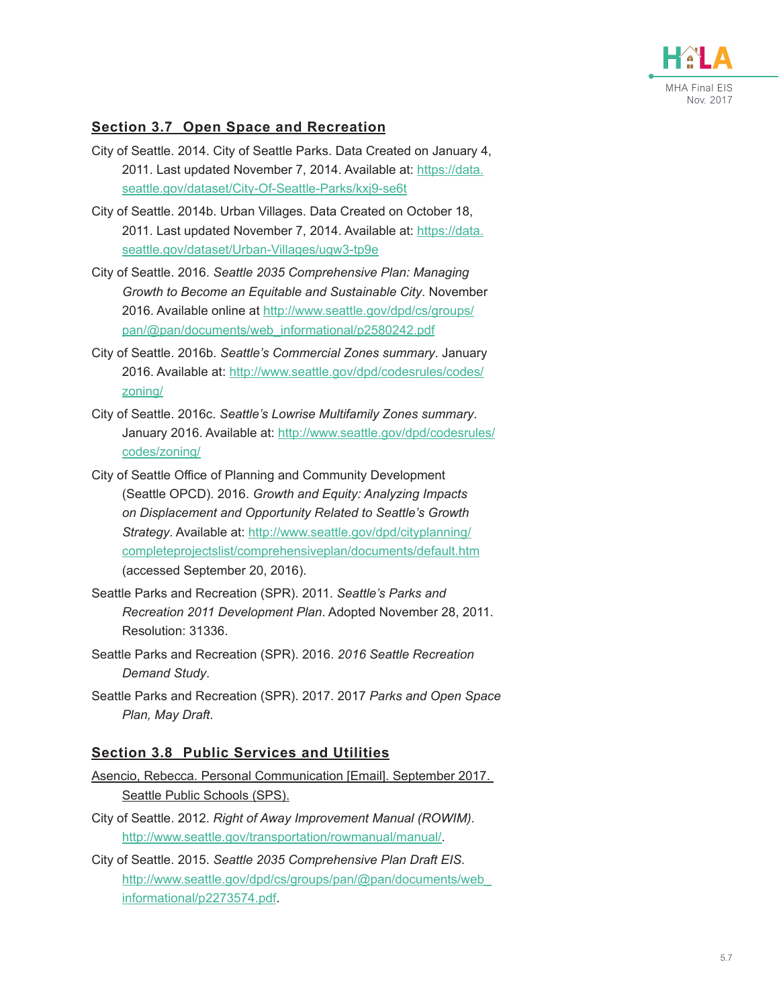

#### **Section 3.7 Open Space and Recreation**

- City of Seattle. 2014. City of Seattle Parks. Data Created on January 4, 2011. Last updated November 7, 2014. Available at: [https://data.](https://data.seattle.gov/dataset/City-Of-Seattle-Parks/kxj9-se6t) [seattle.gov/dataset/City-Of-Seattle-Parks/kxj9-se6t](https://data.seattle.gov/dataset/City-Of-Seattle-Parks/kxj9-se6t)
- City of Seattle. 2014b. Urban Villages. Data Created on October 18, 2011. Last updated November 7, 2014. Available at: [https://data.](https://data.seattle.gov/dataset/Urban-Villages/ugw3-tp9e) [seattle.gov/dataset/Urban-Villages/ugw3-tp9e](https://data.seattle.gov/dataset/Urban-Villages/ugw3-tp9e)
- City of Seattle. 2016. *Seattle 2035 Comprehensive Plan: Managing Growth to Become an Equitable and Sustainable City*. November 2016. Available online at [http://www.seattle.gov/dpd/cs/groups/](http://www.seattle.gov/dpd/cs/groups/pan/@pan/documents/web_informational/p2580242.pdf) [pan/@pan/documents/web\\_informational/p2580242.pdf](http://www.seattle.gov/dpd/cs/groups/pan/@pan/documents/web_informational/p2580242.pdf)
- City of Seattle. 2016b. *Seattle's Commercial Zones summary*. January 2016. Available at: [http://www.seattle.gov/dpd/codesrules/codes/](http://www.seattle.gov/dpd/codesrules/codes/zoning/) [zoning/](http://www.seattle.gov/dpd/codesrules/codes/zoning/)
- City of Seattle. 2016c. *Seattle's Lowrise Multifamily Zones summary*. January 2016. Available at: [http://www.seattle.gov/dpd/codesrules/](http://www.seattle.gov/dpd/codesrules/codes/zoning/) [codes/zoning/](http://www.seattle.gov/dpd/codesrules/codes/zoning/)
- City of Seattle Office of Planning and Community Development (Seattle OPCD). 2016. *Growth and Equity: Analyzing Impacts on Displacement and Opportunity Related to Seattle's Growth Strategy*. Available at: [http://www.seattle.gov/dpd/cityplanning/](http://www.seattle.gov/dpd/cityplanning/completeprojectslist/comprehensiveplan/documents/default.htm) [completeprojectslist/comprehensiveplan/documents/default.htm](http://www.seattle.gov/dpd/cityplanning/completeprojectslist/comprehensiveplan/documents/default.htm) (accessed September 20, 2016).
- Seattle Parks and Recreation (SPR). 2011. *Seattle's Parks and Recreation 2011 Development Plan*. Adopted November 28, 2011. Resolution: 31336.
- Seattle Parks and Recreation (SPR). 2016. *2016 Seattle Recreation Demand Study*.
- Seattle Parks and Recreation (SPR). 2017. 2017 *Parks and Open Space Plan, May Draft*.

#### **Section 3.8 Public Services and Utilities**

- Asencio, Rebecca. Personal Communication [Email]. September 2017. Seattle Public Schools (SPS).
- City of Seattle. 2012. *Right of Away Improvement Manual (ROWIM)*. <http://www.seattle.gov/transportation/rowmanual/manual/>.
- City of Seattle. 2015. *Seattle 2035 Comprehensive Plan Draft EIS*. [http://www.seattle.gov/dpd/cs/groups/pan/@pan/documents/web\\_](http://www.seattle.gov/dpd/cs/groups/pan/@pan/documents/web_informational/p2273574.pdf) [informational/p2273574.pdf](http://www.seattle.gov/dpd/cs/groups/pan/@pan/documents/web_informational/p2273574.pdf).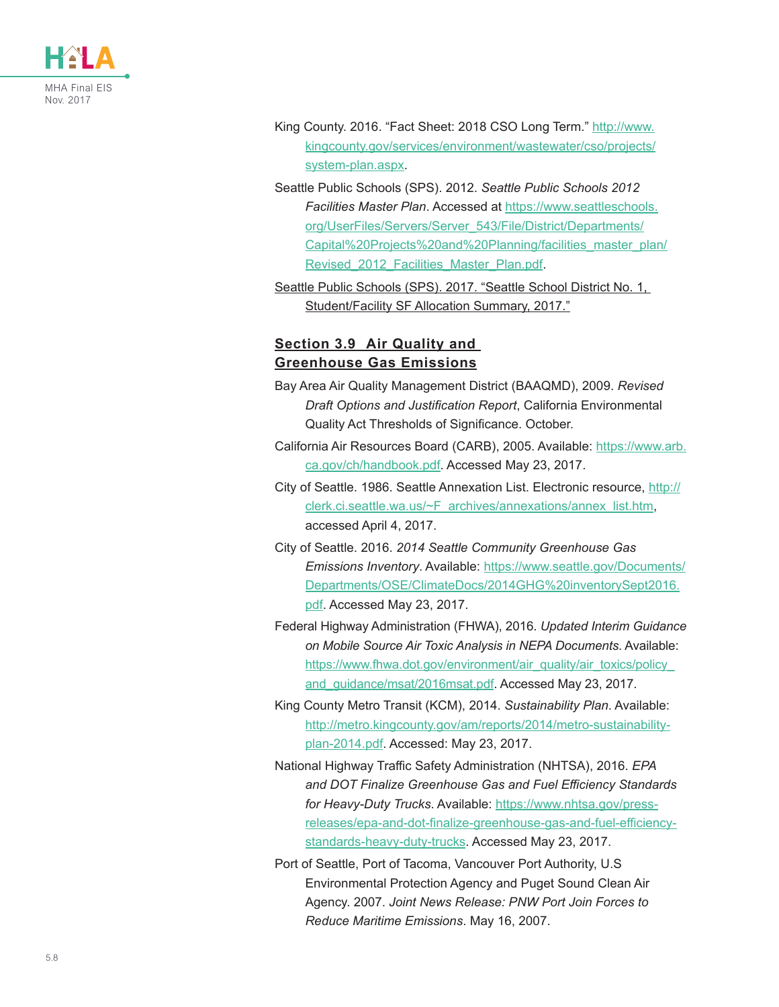

- King County. 2016. "Fact Sheet: 2018 CSO Long Term." [http://www.](http://www.kingcounty.gov/services/environment/wastewater/cso/projects/system-plan.aspx) [kingcounty.gov/services/environment/wastewater/cso/projects/](http://www.kingcounty.gov/services/environment/wastewater/cso/projects/system-plan.aspx) [system-plan.aspx.](http://www.kingcounty.gov/services/environment/wastewater/cso/projects/system-plan.aspx)
- Seattle Public Schools (SPS). 2012. *Seattle Public Schools 2012 Facilities Master Plan*. Accessed at [https://www.seattleschools.](https://www.seattleschools.org/UserFiles/Servers/Server_543/File/District/Departments/Capital%20Projects%20and%20Planning/facilities_master_plan/Revised_2012_Facilities_Master_Plan.pdf) [org/UserFiles/Servers/Server\\_543/File/District/Departments/](https://www.seattleschools.org/UserFiles/Servers/Server_543/File/District/Departments/Capital%20Projects%20and%20Planning/facilities_master_plan/Revised_2012_Facilities_Master_Plan.pdf) [Capital%20Projects%20and%20Planning/facilities\\_master\\_plan/](https://www.seattleschools.org/UserFiles/Servers/Server_543/File/District/Departments/Capital%20Projects%20and%20Planning/facilities_master_plan/Revised_2012_Facilities_Master_Plan.pdf) Revised 2012 Facilities Master Plan.pdf.
- Seattle Public Schools (SPS). 2017. "Seattle School District No. 1, Student/Facility SF Allocation Summary, 2017."

#### **Section 3.9 Air Quality and Greenhouse Gas Emissions**

- Bay Area Air Quality Management District (BAAQMD), 2009. *Revised Draft Options and Justification Report*, California Environmental Quality Act Thresholds of Significance. October.
- California Air Resources Board (CARB), 2005. Available: [https://www.arb.](https://www.arb.ca.gov/ch/handbook.pdf) [ca.gov/ch/handbook.pdf](https://www.arb.ca.gov/ch/handbook.pdf). Accessed May 23, 2017.
- City of Seattle. 1986. Seattle Annexation List. Electronic resource, [http://](http://clerk.ci.seattle.wa.us/~F_archives/annexations/annex_list.htm) [clerk.ci.seattle.wa.us/~F\\_archives/annexations/annex\\_list.htm,](http://clerk.ci.seattle.wa.us/~F_archives/annexations/annex_list.htm) accessed April 4, 2017.
- City of Seattle. 2016. *2014 Seattle Community Greenhouse Gas Emissions Inventory*. Available: [https://www.seattle.gov/Documents/](https://www.seattle.gov/Documents/Departments/OSE/ClimateDocs/2014GHG%20inventorySept2016.pdf) [Departments/OSE/ClimateDocs/2014GHG%20inventorySept2016.](https://www.seattle.gov/Documents/Departments/OSE/ClimateDocs/2014GHG%20inventorySept2016.pdf) [pdf.](https://www.seattle.gov/Documents/Departments/OSE/ClimateDocs/2014GHG%20inventorySept2016.pdf) Accessed May 23, 2017.
- Federal Highway Administration (FHWA), 2016. *Updated Interim Guidance on Mobile Source Air Toxic Analysis in NEPA Documents*. Available: [https://www.fhwa.dot.gov/environment/air\\_quality/air\\_toxics/policy\\_](https://www.fhwa.dot.gov/environment/air_quality/air_toxics/policy_and_guidance/msat/2016msat.pdf) [and\\_guidance/msat/2016msat.pdf](https://www.fhwa.dot.gov/environment/air_quality/air_toxics/policy_and_guidance/msat/2016msat.pdf). Accessed May 23, 2017.
- King County Metro Transit (KCM), 2014. *Sustainability Plan*. Available: [http://metro.kingcounty.gov/am/reports/2014/metro-sustainability](http://metro.kingcounty.gov/am/reports/2014/metro-sustainability-plan-2014.pdf)[plan-2014.pdf](http://metro.kingcounty.gov/am/reports/2014/metro-sustainability-plan-2014.pdf). Accessed: May 23, 2017.
- National Highway Traffic Safety Administration (NHTSA), 2016. *EPA and DOT Finalize Greenhouse Gas and Fuel Efficiency Standards for Heavy-Duty Trucks*. Available: [https://www.nhtsa.gov/press](https://www.nhtsa.gov/press-releases/epa-and-dot-finalize-greenhouse-gas-and-fuel-efficiency-standar)[releases/epa-and-dot-finalize-greenhouse-gas-and-fuel-efficiency](https://www.nhtsa.gov/press-releases/epa-and-dot-finalize-greenhouse-gas-and-fuel-efficiency-standar)[standards-heavy-duty-trucks](https://www.nhtsa.gov/press-releases/epa-and-dot-finalize-greenhouse-gas-and-fuel-efficiency-standar). Accessed May 23, 2017.
- Port of Seattle, Port of Tacoma, Vancouver Port Authority, U.S Environmental Protection Agency and Puget Sound Clean Air Agency. 2007. *Joint News Release: PNW Port Join Forces to Reduce Maritime Emissions*. May 16, 2007.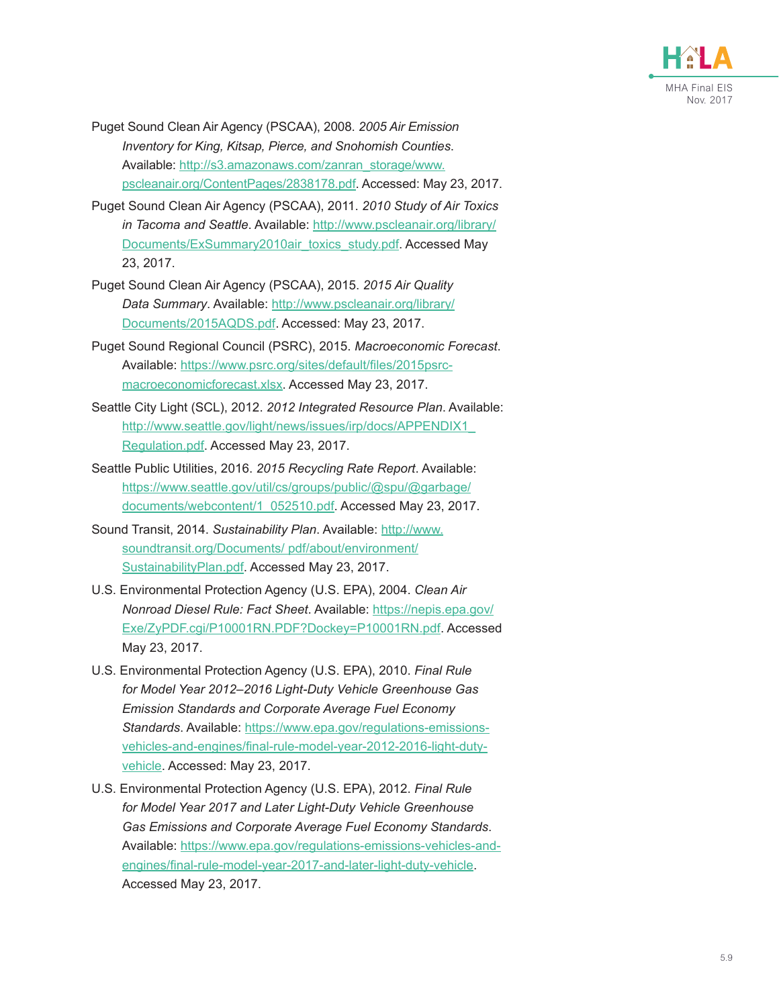

- Puget Sound Clean Air Agency (PSCAA), 2008. *2005 Air Emission Inventory for King, Kitsap, Pierce, and Snohomish Counties*. Available: [http://s3.amazonaws.com/zanran\\_storage/www.](http://s3.amazonaws.com/zanran_storage/www.pscleanair.org/ContentPages/2838178.pdf) [pscleanair.org/ContentPages/2838178.pdf.](http://s3.amazonaws.com/zanran_storage/www.pscleanair.org/ContentPages/2838178.pdf) Accessed: May 23, 2017.
- Puget Sound Clean Air Agency (PSCAA), 2011. *2010 Study of Air Toxics in Tacoma and Seattle*. Available: [http://www.pscleanair.org/library/](http://www.pscleanair.org/library/Documents/ExSummary2010air_toxics_study.pdf) [Documents/ExSummary2010air\\_toxics\\_study.pdf.](http://www.pscleanair.org/library/Documents/ExSummary2010air_toxics_study.pdf) Accessed May 23, 2017.
- Puget Sound Clean Air Agency (PSCAA), 2015. *2015 Air Quality Data Summary*. Available: [http://www.pscleanair.org/library/](http://www.pscleanair.org/library/Documents/2015AQDS.pdf) [Documents/2015AQDS.pdf](http://www.pscleanair.org/library/Documents/2015AQDS.pdf). Accessed: May 23, 2017.
- Puget Sound Regional Council (PSRC), 2015. *Macroeconomic Forecast*. Available: [https://www.psrc.org/sites/default/files/2015psrc](https://www.psrc.org/sites/default/files/2015psrc-macroeconomicforecast.xlsx)[macroeconomicforecast.xlsx](https://www.psrc.org/sites/default/files/2015psrc-macroeconomicforecast.xlsx). Accessed May 23, 2017.
- Seattle City Light (SCL), 2012. *2012 Integrated Resource Plan*. Available: [http://www.seattle.gov/light/news/issues/irp/docs/APPENDIX1\\_](http://www.seattle.gov/light/news/issues/irp/docs/APPENDIX1_Regulation.pdf) [Regulation.pdf](http://www.seattle.gov/light/news/issues/irp/docs/APPENDIX1_Regulation.pdf). Accessed May 23, 2017.
- Seattle Public Utilities, 2016. *2015 Recycling Rate Report*. Available: [https://www.seattle.gov/util/cs/groups/public/@spu/@garbage/](https://www.seattle.gov/util/cs/groups/public/@spu/@garbage/documents/webcontent/1_052510.pdf) [documents/webcontent/1\\_052510.pdf.](https://www.seattle.gov/util/cs/groups/public/@spu/@garbage/documents/webcontent/1_052510.pdf) Accessed May 23, 2017.
- Sound Transit, 2014. *Sustainability Plan*. Available: [http://www.](http://www.soundtransit.org/Documents/ pdf/about/environment/SustainabilityPlan.pdf) [soundtransit.org/Documents/ pdf/about/environment/](http://www.soundtransit.org/Documents/ pdf/about/environment/SustainabilityPlan.pdf) [SustainabilityPlan.pdf.](http://www.soundtransit.org/Documents/ pdf/about/environment/SustainabilityPlan.pdf) Accessed May 23, 2017.
- U.S. Environmental Protection Agency (U.S. EPA), 2004. *Clean Air Nonroad Diesel Rule: Fact Sheet*. Available: [https://nepis.epa.gov/](https://nepis.epa.gov/Exe/ZyPDF.cgi/P10001RN.PDF?Dockey=P10001RN.pdf) [Exe/ZyPDF.cgi/P10001RN.PDF?Dockey=P10001RN.pdf](https://nepis.epa.gov/Exe/ZyPDF.cgi/P10001RN.PDF?Dockey=P10001RN.pdf). Accessed May 23, 2017.
- U.S. Environmental Protection Agency (U.S. EPA), 2010. *Final Rule for Model Year 2012–2016 Light-Duty Vehicle Greenhouse Gas Emission Standards and Corporate Average Fuel Economy Standards*. Available: [https://www.epa.gov/regulations-emissions](https://www.epa.gov/regulations-emissions-vehicles-and-engines/final-rule-model-year-2012-2016-light-duty-vehicle)[vehicles-and-engines/final-rule-model-year-2012-2016-light-duty](https://www.epa.gov/regulations-emissions-vehicles-and-engines/final-rule-model-year-2012-2016-light-duty-vehicle)[vehicle](https://www.epa.gov/regulations-emissions-vehicles-and-engines/final-rule-model-year-2012-2016-light-duty-vehicle). Accessed: May 23, 2017.
- U.S. Environmental Protection Agency (U.S. EPA), 2012. *Final Rule for Model Year 2017 and Later Light-Duty Vehicle Greenhouse Gas Emissions and Corporate Average Fuel Economy Standards*. Available: [https://www.epa.gov/regulations-emissions-vehicles-and](https://www.epa.gov/regulations-emissions-vehicles-and-engines/final-rule-model-year-2017-and-later-light-duty-vehicle)[engines/final-rule-model-year-2017-and-later-light-duty-vehicle](https://www.epa.gov/regulations-emissions-vehicles-and-engines/final-rule-model-year-2017-and-later-light-duty-vehicle). Accessed May 23, 2017.